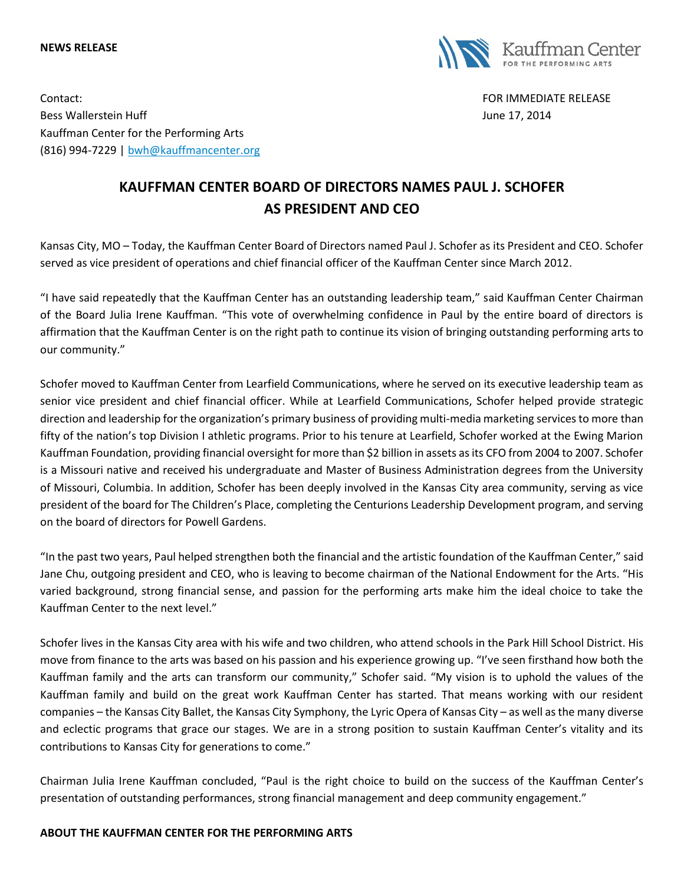## **NEWS RELEASE**



Contact: FOR IMMEDIATE RELEASE Bess Wallerstein Huff **During the Second Line 17, 2014** June 17, 2014 Kauffman Center for the Performing Arts (816) 994-7229 | [bwh@kauffmancenter.org](mailto:bwh@kauffmancenter.org)

## **KAUFFMAN CENTER BOARD OF DIRECTORS NAMES PAUL J. SCHOFER AS PRESIDENT AND CEO**

Kansas City, MO – Today, the Kauffman Center Board of Directors named Paul J. Schofer as its President and CEO. Schofer served as vice president of operations and chief financial officer of the Kauffman Center since March 2012.

"I have said repeatedly that the Kauffman Center has an outstanding leadership team," said Kauffman Center Chairman of the Board Julia Irene Kauffman. "This vote of overwhelming confidence in Paul by the entire board of directors is affirmation that the Kauffman Center is on the right path to continue its vision of bringing outstanding performing arts to our community."

Schofer moved to Kauffman Center from Learfield Communications, where he served on its executive leadership team as senior vice president and chief financial officer. While at Learfield Communications, Schofer helped provide strategic direction and leadership for the organization's primary business of providing multi-media marketing services to more than fifty of the nation's top Division I athletic programs. Prior to his tenure at Learfield, Schofer worked at the Ewing Marion Kauffman Foundation, providing financial oversight for more than \$2 billion in assets as its CFO from 2004 to 2007. Schofer is a Missouri native and received his undergraduate and Master of Business Administration degrees from the University of Missouri, Columbia. In addition, Schofer has been deeply involved in the Kansas City area community, serving as vice president of the board for The Children's Place, completing the Centurions Leadership Development program, and serving on the board of directors for Powell Gardens.

"In the past two years, Paul helped strengthen both the financial and the artistic foundation of the Kauffman Center," said Jane Chu, outgoing president and CEO, who is leaving to become chairman of the National Endowment for the Arts. "His varied background, strong financial sense, and passion for the performing arts make him the ideal choice to take the Kauffman Center to the next level."

Schofer lives in the Kansas City area with his wife and two children, who attend schools in the Park Hill School District. His move from finance to the arts was based on his passion and his experience growing up. "I've seen firsthand how both the Kauffman family and the arts can transform our community," Schofer said. "My vision is to uphold the values of the Kauffman family and build on the great work Kauffman Center has started. That means working with our resident companies – the Kansas City Ballet, the Kansas City Symphony, the Lyric Opera of Kansas City – as well as the many diverse and eclectic programs that grace our stages. We are in a strong position to sustain Kauffman Center's vitality and its contributions to Kansas City for generations to come."

Chairman Julia Irene Kauffman concluded, "Paul is the right choice to build on the success of the Kauffman Center's presentation of outstanding performances, strong financial management and deep community engagement."

## **ABOUT THE KAUFFMAN CENTER FOR THE PERFORMING ARTS**